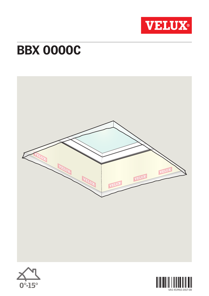

## **BBX 0000C**





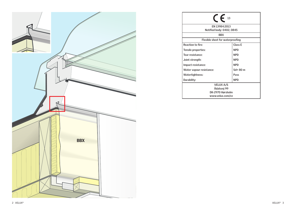

| $F_{13}$                                                                |             |
|-------------------------------------------------------------------------|-------------|
| FN 13984:2013<br>Notified body: 0402, 0845                              |             |
| <b>BBX</b>                                                              |             |
| Flexible sheet for waterproofing                                        |             |
| <b>Reaction to fire:</b>                                                | Class E     |
| Tensile properties:                                                     | <b>NPD</b>  |
| Tear resistance:                                                        | <b>NPD</b>  |
| Joint strength:                                                         | <b>NPD</b>  |
| Impact resistance:                                                      | <b>NPD</b>  |
| Water vapour resistance:                                                | $Sd = 80$ m |
| Watertightness:                                                         | Pass        |
| Durability:                                                             | <b>NPD</b>  |
| <b>VELUX A/S</b><br>Ådalsvej 99<br>DK-2970 Hørsholm<br>www.velux.com/ce |             |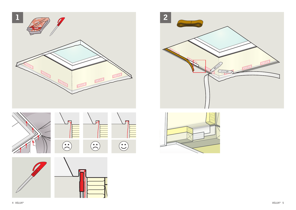